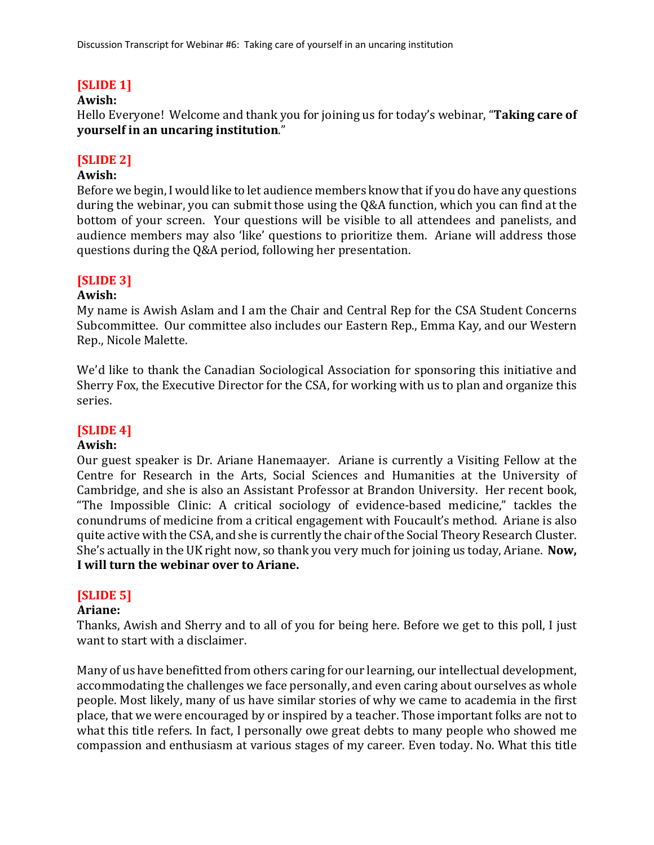# **[SLIDE 1]**

## **Awish:**

Hello Everyone! Welcome and thank you for joining us for today's webinar, "Taking care of **yourself in an uncaring institution."** 

## **[SLIDE 2]**

### **Awish:**

Before we begin, I would like to let audience members know that if you do have any questions during the webinar, you can submit those using the Q&A function, which you can find at the bottom of your screen. Your questions will be visible to all attendees and panelists, and audience members may also 'like' questions to prioritize them. Ariane will address those questions during the Q&A period, following her presentation.

### **[SLIDE 3]**

#### **Awish:**

My name is Awish Aslam and I am the Chair and Central Rep for the CSA Student Concerns Subcommittee. Our committee also includes our Eastern Rep., Emma Kay, and our Western Rep., Nicole Malette.

We'd like to thank the Canadian Sociological Association for sponsoring this initiative and Sherry Fox, the Executive Director for the CSA, for working with us to plan and organize this series. 

## **[SLIDE 4]**

#### **Awish:**

Our guest speaker is Dr. Ariane Hanemaayer. Ariane is currently a Visiting Fellow at the Centre for Research in the Arts, Social Sciences and Humanities at the University of Cambridge, and she is also an Assistant Professor at Brandon University. Her recent book, "The Impossible Clinic: A critical sociology of evidence-based medicine," tackles the conundrums of medicine from a critical engagement with Foucault's method. Ariane is also quite active with the CSA, and she is currently the chair of the Social Theory Research Cluster. She's actually in the UK right now, so thank you very much for joining us today, Ariane. **Now, I** will turn the webinar over to Ariane.

## **[SLIDE 5]**

## **Ariane:**

Thanks, Awish and Sherry and to all of you for being here. Before we get to this poll, I just want to start with a disclaimer.

Many of us have benefitted from others caring for our learning, our intellectual development, accommodating the challenges we face personally, and even caring about ourselves as whole people. Most likely, many of us have similar stories of why we came to academia in the first place, that we were encouraged by or inspired by a teacher. Those important folks are not to what this title refers. In fact, I personally owe great debts to many people who showed me compassion and enthusiasm at various stages of my career. Even today. No. What this title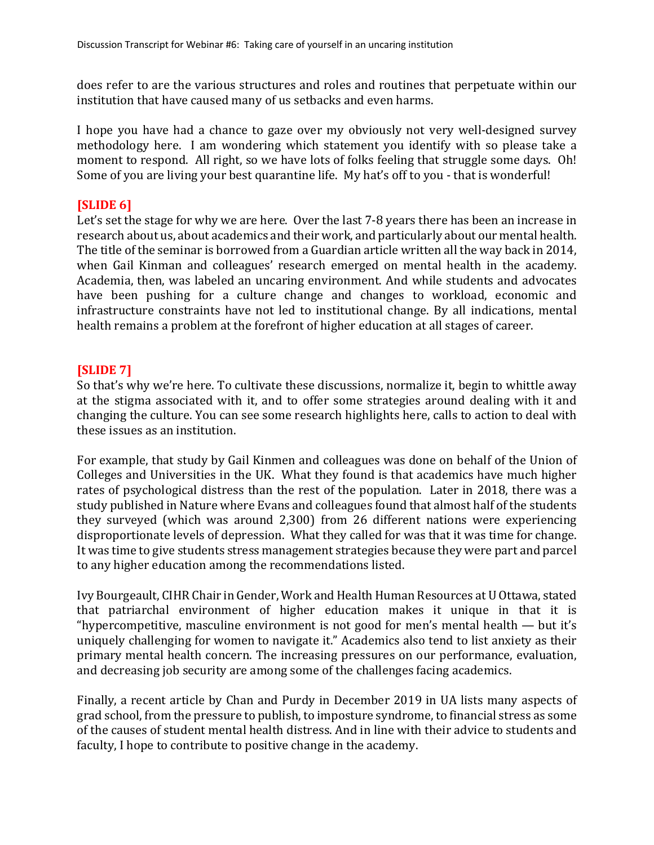does refer to are the various structures and roles and routines that perpetuate within our institution that have caused many of us setbacks and even harms.

I hope you have had a chance to gaze over my obviously not very well-designed survey methodology here. I am wondering which statement you identify with so please take a moment to respond. All right, so we have lots of folks feeling that struggle some days. Oh! Some of you are living your best quarantine life. My hat's off to you - that is wonderful!

## **[SLIDE 6]**

Let's set the stage for why we are here. Over the last 7-8 years there has been an increase in research about us, about academics and their work, and particularly about our mental health. The title of the seminar is borrowed from a Guardian article written all the way back in 2014, when Gail Kinman and colleagues' research emerged on mental health in the academy. Academia, then, was labeled an uncaring environment. And while students and advocates have been pushing for a culture change and changes to workload, economic and infrastructure constraints have not led to institutional change. By all indications, mental health remains a problem at the forefront of higher education at all stages of career.

## **[SLIDE 7]**

So that's why we're here. To cultivate these discussions, normalize it, begin to whittle away at the stigma associated with it, and to offer some strategies around dealing with it and changing the culture. You can see some research highlights here, calls to action to deal with these issues as an institution.

For example, that study by Gail Kinmen and colleagues was done on behalf of the Union of Colleges and Universities in the UK. What they found is that academics have much higher rates of psychological distress than the rest of the population. Later in 2018, there was a study published in Nature where Evans and colleagues found that almost half of the students they surveyed (which was around 2,300) from 26 different nations were experiencing disproportionate levels of depression. What they called for was that it was time for change. It was time to give students stress management strategies because they were part and parcel to any higher education among the recommendations listed.

Ivy Bourgeault, CIHR Chair in Gender, Work and Health Human Resources at U Ottawa, stated that patriarchal environment of higher education makes it unique in that it is "hypercompetitive, masculine environment is not good for men's mental health  $-$  but it's uniquely challenging for women to navigate it." Academics also tend to list anxiety as their primary mental health concern. The increasing pressures on our performance, evaluation, and decreasing job security are among some of the challenges facing academics.

Finally, a recent article by Chan and Purdy in December 2019 in UA lists many aspects of grad school, from the pressure to publish, to imposture syndrome, to financial stress as some of the causes of student mental health distress. And in line with their advice to students and faculty, I hope to contribute to positive change in the academy.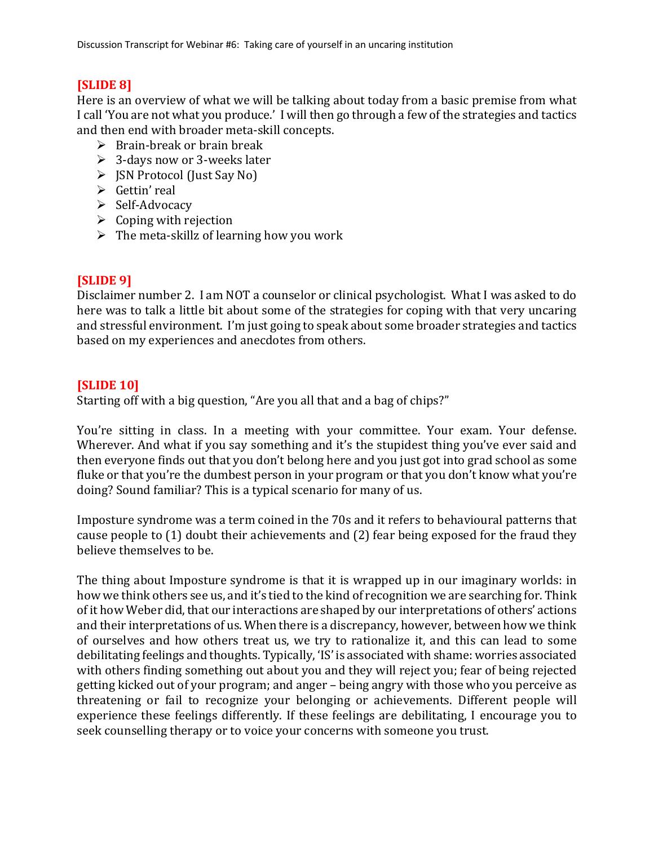## **[SLIDE 8]**

Here is an overview of what we will be talking about today from a basic premise from what I call 'You are not what you produce.' I will then go through a few of the strategies and tactics and then end with broader meta-skill concepts.

- $\triangleright$  Brain-break or brain break
- $\geq 3$ -days now or 3-weeks later
- $\triangleright$  JSN Protocol (Just Say No)
- $\triangleright$  Gettin' real
- $\triangleright$  Self-Advocacy
- $\triangleright$  Coping with rejection
- $\triangleright$  The meta-skillz of learning how you work

## **[SLIDE 9]**

Disclaimer number 2. I am NOT a counselor or clinical psychologist. What I was asked to do here was to talk a little bit about some of the strategies for coping with that very uncaring and stressful environment. I'm just going to speak about some broader strategies and tactics based on my experiences and anecdotes from others.

## **[SLIDE 10]**

Starting off with a big question, "Are you all that and a bag of chips?"

You're sitting in class. In a meeting with your committee. Your exam. Your defense. Wherever. And what if you say something and it's the stupidest thing you've ever said and then everyone finds out that you don't belong here and you just got into grad school as some fluke or that you're the dumbest person in your program or that you don't know what you're doing? Sound familiar? This is a typical scenario for many of us.

Imposture syndrome was a term coined in the 70s and it refers to behavioural patterns that cause people to  $(1)$  doubt their achievements and  $(2)$  fear being exposed for the fraud they believe themselves to be.

The thing about Imposture syndrome is that it is wrapped up in our imaginary worlds: in how we think others see us, and it's tied to the kind of recognition we are searching for. Think of it how Weber did, that our interactions are shaped by our interpretations of others' actions and their interpretations of us. When there is a discrepancy, however, between how we think of ourselves and how others treat us, we try to rationalize it, and this can lead to some debilitating feelings and thoughts. Typically, 'IS' is associated with shame: worries associated with others finding something out about you and they will reject you; fear of being rejected getting kicked out of your program; and anger – being angry with those who you perceive as threatening or fail to recognize your belonging or achievements. Different people will experience these feelings differently. If these feelings are debilitating, I encourage you to seek counselling therapy or to voice your concerns with someone you trust.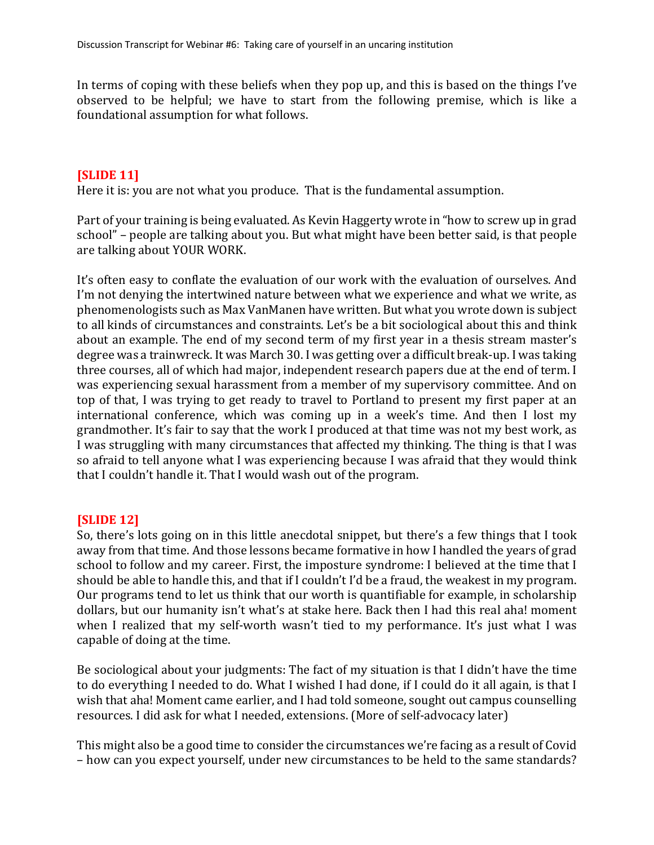In terms of coping with these beliefs when they pop up, and this is based on the things I've observed to be helpful; we have to start from the following premise, which is like a foundational assumption for what follows.

## **[SLIDE 11]**

Here it is: you are not what you produce. That is the fundamental assumption.

Part of your training is being evaluated. As Kevin Haggerty wrote in "how to screw up in grad school" – people are talking about you. But what might have been better said, is that people are talking about YOUR WORK.

It's often easy to conflate the evaluation of our work with the evaluation of ourselves. And I'm not denying the intertwined nature between what we experience and what we write, as phenomenologists such as Max VanManen have written. But what you wrote down is subject to all kinds of circumstances and constraints. Let's be a bit sociological about this and think about an example. The end of my second term of my first year in a thesis stream master's degree was a trainwreck. It was March 30. I was getting over a difficult break-up. I was taking three courses, all of which had major, independent research papers due at the end of term. I was experiencing sexual harassment from a member of my supervisory committee. And on top of that, I was trying to get ready to travel to Portland to present my first paper at an international conference, which was coming up in a week's time. And then I lost my grandmother. It's fair to say that the work I produced at that time was not my best work, as I was struggling with many circumstances that affected my thinking. The thing is that I was so afraid to tell anyone what I was experiencing because I was afraid that they would think that I couldn't handle it. That I would wash out of the program.

## **[SLIDE 12]**

So, there's lots going on in this little anecdotal snippet, but there's a few things that I took away from that time. And those lessons became formative in how I handled the years of grad school to follow and my career. First, the imposture syndrome: I believed at the time that I should be able to handle this, and that if I couldn't I'd be a fraud, the weakest in my program. Our programs tend to let us think that our worth is quantifiable for example, in scholarship dollars, but our humanity isn't what's at stake here. Back then I had this real aha! moment when I realized that my self-worth wasn't tied to my performance. It's just what I was capable of doing at the time.

Be sociological about your judgments: The fact of my situation is that I didn't have the time to do everything I needed to do. What I wished I had done, if I could do it all again, is that I wish that aha! Moment came earlier, and I had told someone, sought out campus counselling resources. I did ask for what I needed, extensions. (More of self-advocacy later)

This might also be a good time to consider the circumstances we're facing as a result of Covid – how can you expect yourself, under new circumstances to be held to the same standards?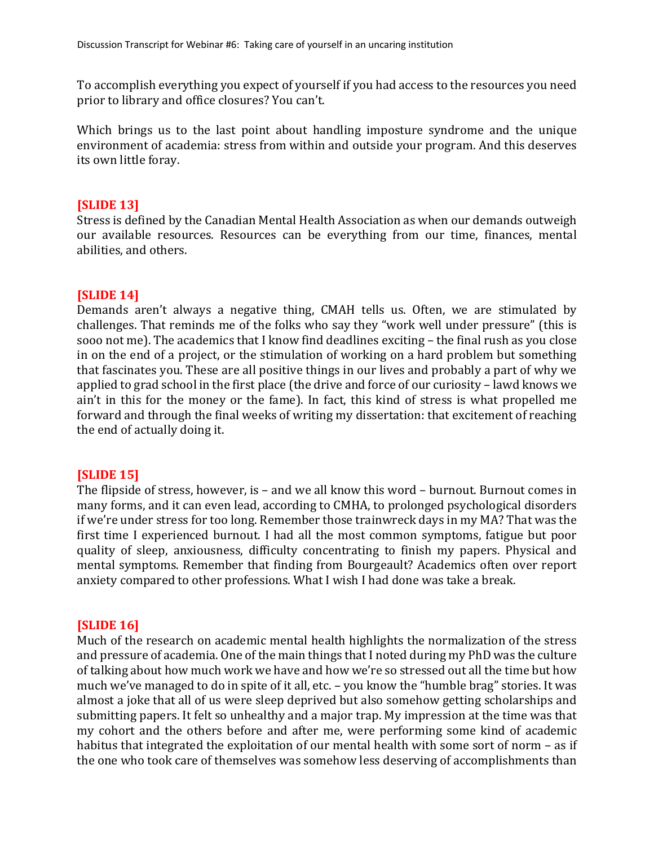To accomplish everything you expect of yourself if you had access to the resources you need prior to library and office closures? You can't.

Which brings us to the last point about handling imposture syndrome and the unique environment of academia: stress from within and outside your program. And this deserves its own little foray.

## **[SLIDE 13]**

Stress is defined by the Canadian Mental Health Association as when our demands outweigh our available resources. Resources can be everything from our time, finances, mental abilities, and others.

## **[SLIDE 14]**

Demands aren't always a negative thing, CMAH tells us. Often, we are stimulated by challenges. That reminds me of the folks who say they "work well under pressure" (this is sooo not me). The academics that I know find deadlines exciting - the final rush as you close in on the end of a project, or the stimulation of working on a hard problem but something that fascinates you. These are all positive things in our lives and probably a part of why we applied to grad school in the first place (the drive and force of our curiosity – lawd knows we ain't in this for the money or the fame). In fact, this kind of stress is what propelled me forward and through the final weeks of writing my dissertation: that excitement of reaching the end of actually doing it.

## **[SLIDE 15]**

The flipside of stress, however, is – and we all know this word – burnout. Burnout comes in many forms, and it can even lead, according to CMHA, to prolonged psychological disorders if we're under stress for too long. Remember those trainwreck days in my MA? That was the first time I experienced burnout. I had all the most common symptoms, fatigue but poor quality of sleep, anxiousness, difficulty concentrating to finish my papers. Physical and mental symptoms. Remember that finding from Bourgeault? Academics often over report anxiety compared to other professions. What I wish I had done was take a break.

## **[SLIDE 16]**

Much of the research on academic mental health highlights the normalization of the stress and pressure of academia. One of the main things that I noted during my PhD was the culture of talking about how much work we have and how we're so stressed out all the time but how much we've managed to do in spite of it all, etc. – you know the "humble brag" stories. It was almost a joke that all of us were sleep deprived but also somehow getting scholarships and submitting papers. It felt so unhealthy and a major trap. My impression at the time was that my cohort and the others before and after me, were performing some kind of academic habitus that integrated the exploitation of our mental health with some sort of norm – as if the one who took care of themselves was somehow less deserving of accomplishments than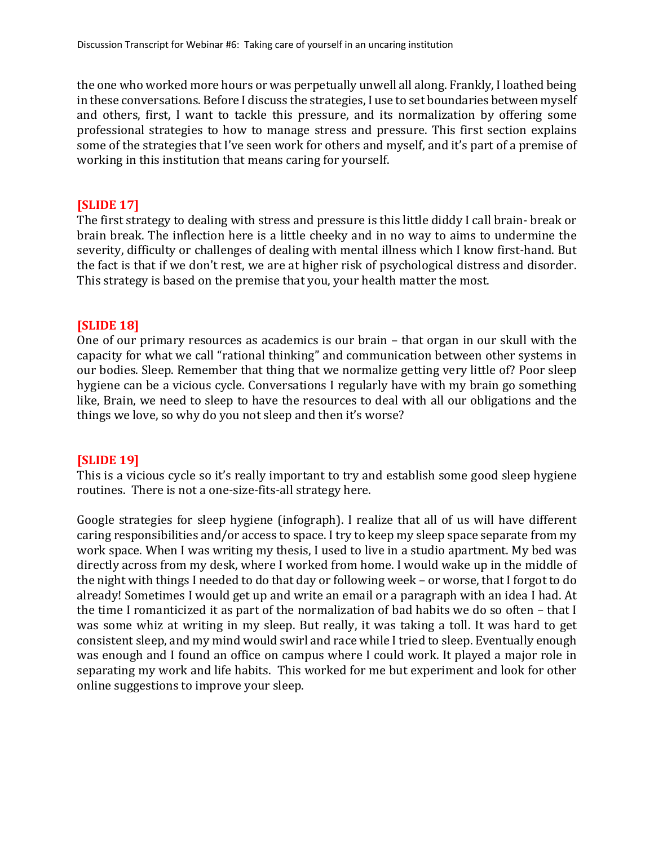the one who worked more hours or was perpetually unwell all along. Frankly, I loathed being in these conversations. Before I discuss the strategies, I use to set boundaries between myself and others, first, I want to tackle this pressure, and its normalization by offering some professional strategies to how to manage stress and pressure. This first section explains some of the strategies that I've seen work for others and myself, and it's part of a premise of working in this institution that means caring for yourself.

## **[SLIDE 17]**

The first strategy to dealing with stress and pressure is this little diddy I call brain- break or brain break. The inflection here is a little cheeky and in no way to aims to undermine the severity, difficulty or challenges of dealing with mental illness which I know first-hand. But the fact is that if we don't rest, we are at higher risk of psychological distress and disorder. This strategy is based on the premise that you, your health matter the most.

## **[SLIDE 18]**

One of our primary resources as academics is our brain – that organ in our skull with the capacity for what we call "rational thinking" and communication between other systems in our bodies. Sleep. Remember that thing that we normalize getting very little of? Poor sleep hygiene can be a vicious cycle. Conversations I regularly have with my brain go something like, Brain, we need to sleep to have the resources to deal with all our obligations and the things we love, so why do you not sleep and then it's worse?

## **[SLIDE 19]**

This is a vicious cycle so it's really important to try and establish some good sleep hygiene routines. There is not a one-size-fits-all strategy here.

Google strategies for sleep hygiene (infograph). I realize that all of us will have different caring responsibilities and/or access to space. I try to keep my sleep space separate from my work space. When I was writing my thesis, I used to live in a studio apartment. My bed was directly across from my desk, where I worked from home. I would wake up in the middle of the night with things I needed to do that day or following week - or worse, that I forgot to do already! Sometimes I would get up and write an email or a paragraph with an idea I had. At the time I romanticized it as part of the normalization of bad habits we do so often  $-$  that I was some whiz at writing in my sleep. But really, it was taking a toll. It was hard to get consistent sleep, and my mind would swirl and race while I tried to sleep. Eventually enough was enough and I found an office on campus where I could work. It played a major role in separating my work and life habits. This worked for me but experiment and look for other online suggestions to improve your sleep.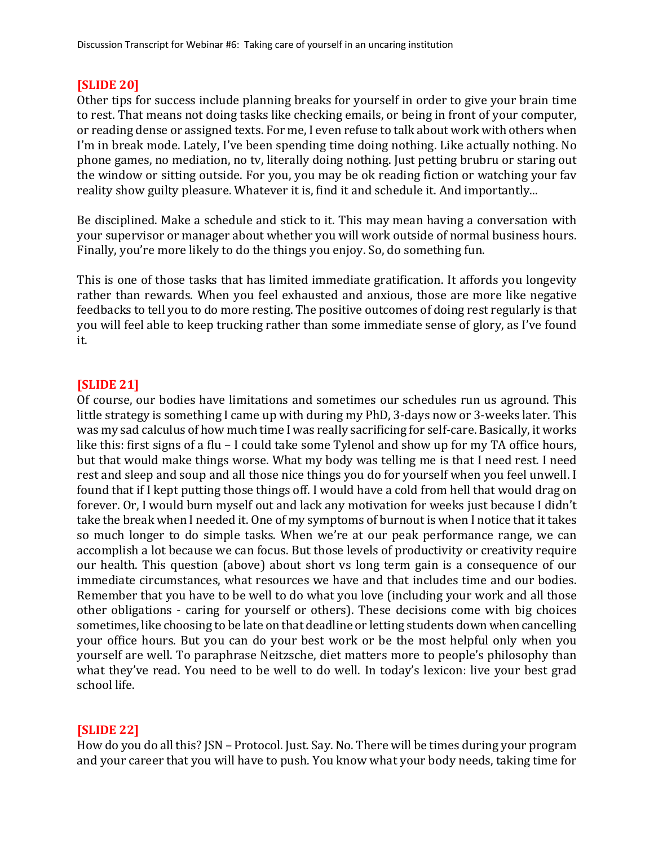## **[SLIDE 20]**

Other tips for success include planning breaks for yourself in order to give your brain time to rest. That means not doing tasks like checking emails, or being in front of your computer, or reading dense or assigned texts. For me, I even refuse to talk about work with others when I'm in break mode. Lately, I've been spending time doing nothing. Like actually nothing. No phone games, no mediation, no tv, literally doing nothing. Just petting brubru or staring out the window or sitting outside. For you, you may be ok reading fiction or watching your fav reality show guilty pleasure. Whatever it is, find it and schedule it. And importantly...

Be disciplined. Make a schedule and stick to it. This may mean having a conversation with your supervisor or manager about whether you will work outside of normal business hours. Finally, you're more likely to do the things you enjoy. So, do something fun.

This is one of those tasks that has limited immediate gratification. It affords you longevity rather than rewards. When you feel exhausted and anxious, those are more like negative feedbacks to tell you to do more resting. The positive outcomes of doing rest regularly is that you will feel able to keep trucking rather than some immediate sense of glory, as I've found it. 

## **[SLIDE 21]**

Of course, our bodies have limitations and sometimes our schedules run us aground. This little strategy is something I came up with during my PhD,  $3$ -days now or  $3$ -weeks later. This was my sad calculus of how much time I was really sacrificing for self-care. Basically, it works like this: first signs of a flu – I could take some Tylenol and show up for my TA office hours, but that would make things worse. What my body was telling me is that I need rest. I need rest and sleep and soup and all those nice things you do for yourself when you feel unwell. I found that if I kept putting those things off. I would have a cold from hell that would drag on forever. Or, I would burn myself out and lack any motivation for weeks just because I didn't take the break when I needed it. One of my symptoms of burnout is when I notice that it takes so much longer to do simple tasks. When we're at our peak performance range, we can accomplish a lot because we can focus. But those levels of productivity or creativity require our health. This question (above) about short vs long term gain is a consequence of our immediate circumstances, what resources we have and that includes time and our bodies. Remember that you have to be well to do what you love (including your work and all those other obligations - caring for yourself or others). These decisions come with big choices sometimes, like choosing to be late on that deadline or letting students down when cancelling your office hours. But you can do your best work or be the most helpful only when you yourself are well. To paraphrase Neitzsche, diet matters more to people's philosophy than what they've read. You need to be well to do well. In today's lexicon: live your best grad school life.

## **[SLIDE 22]**

How do you do all this? JSN – Protocol. Just. Say. No. There will be times during your program and your career that you will have to push. You know what your body needs, taking time for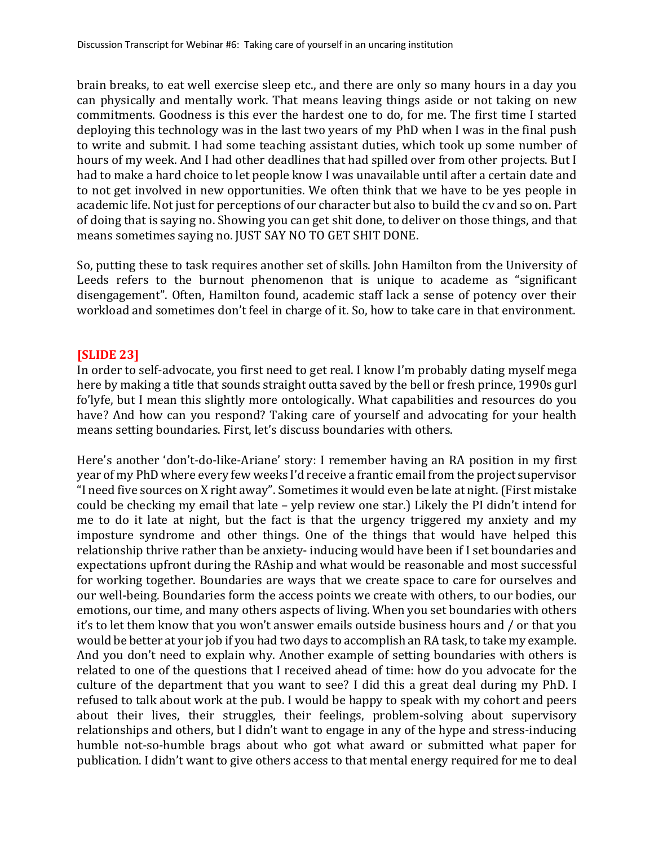brain breaks, to eat well exercise sleep etc., and there are only so many hours in a day you can physically and mentally work. That means leaving things aside or not taking on new commitments. Goodness is this ever the hardest one to do, for me. The first time I started deploying this technology was in the last two years of my PhD when I was in the final push to write and submit. I had some teaching assistant duties, which took up some number of hours of my week. And I had other deadlines that had spilled over from other projects. But I had to make a hard choice to let people know I was unavailable until after a certain date and to not get involved in new opportunities. We often think that we have to be yes people in academic life. Not just for perceptions of our character but also to build the cv and so on. Part of doing that is saying no. Showing you can get shit done, to deliver on those things, and that means sometimes saying no. JUST SAY NO TO GET SHIT DONE.

So, putting these to task requires another set of skills. John Hamilton from the University of Leeds refers to the burnout phenomenon that is unique to academe as "significant disengagement". Often, Hamilton found, academic staff lack a sense of potency over their workload and sometimes don't feel in charge of it. So, how to take care in that environment.

## **[SLIDE 23]**

In order to self-advocate, you first need to get real. I know I'm probably dating myself mega here by making a title that sounds straight outta saved by the bell or fresh prince, 1990s gurl fo'lyfe, but I mean this slightly more ontologically. What capabilities and resources do you have? And how can you respond? Taking care of yourself and advocating for your health means setting boundaries. First, let's discuss boundaries with others.

Here's another 'don't-do-like-Ariane' story: I remember having an RA position in my first year of my PhD where every few weeks I'd receive a frantic email from the project supervisor "I need five sources on X right away". Sometimes it would even be late at night. (First mistake could be checking my email that late - yelp review one star.) Likely the PI didn't intend for me to do it late at night, but the fact is that the urgency triggered my anxiety and my imposture syndrome and other things. One of the things that would have helped this relationship thrive rather than be anxiety- inducing would have been if I set boundaries and expectations upfront during the RAship and what would be reasonable and most successful for working together. Boundaries are ways that we create space to care for ourselves and our well-being. Boundaries form the access points we create with others, to our bodies, our emotions, our time, and many others aspects of living. When you set boundaries with others it's to let them know that you won't answer emails outside business hours and / or that you would be better at your job if you had two days to accomplish an RA task, to take my example. And you don't need to explain why. Another example of setting boundaries with others is related to one of the questions that I received ahead of time: how do you advocate for the culture of the department that you want to see? I did this a great deal during my PhD. I refused to talk about work at the pub. I would be happy to speak with my cohort and peers about their lives, their struggles, their feelings, problem-solving about supervisory relationships and others, but I didn't want to engage in any of the hype and stress-inducing humble not-so-humble brags about who got what award or submitted what paper for publication. I didn't want to give others access to that mental energy required for me to deal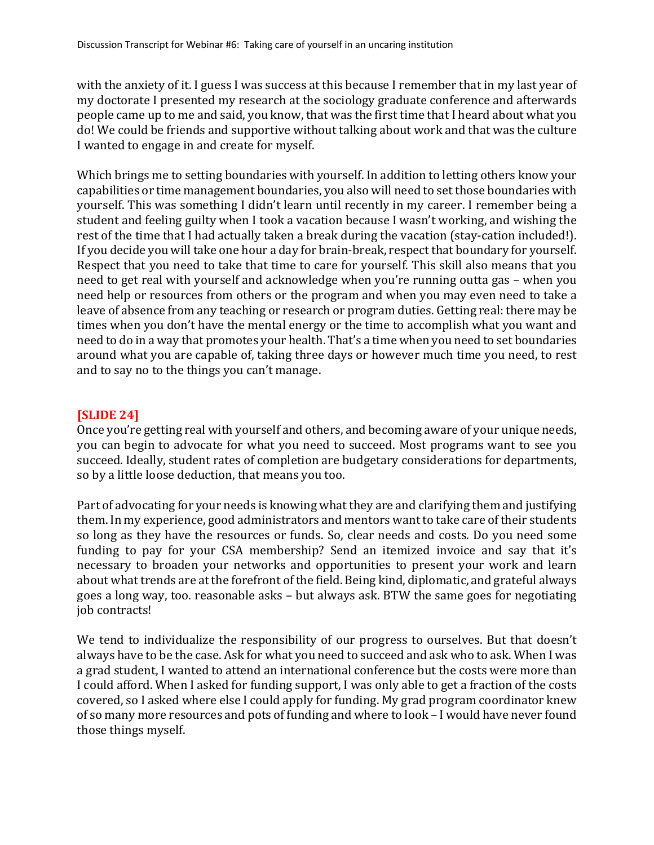with the anxiety of it. I guess I was success at this because I remember that in my last year of my doctorate I presented my research at the sociology graduate conference and afterwards people came up to me and said, you know, that was the first time that I heard about what you do! We could be friends and supportive without talking about work and that was the culture I wanted to engage in and create for myself.

Which brings me to setting boundaries with yourself. In addition to letting others know your capabilities or time management boundaries, you also will need to set those boundaries with yourself. This was something I didn't learn until recently in my career. I remember being a student and feeling guilty when I took a vacation because I wasn't working, and wishing the rest of the time that I had actually taken a break during the vacation (stay-cation included!). If you decide you will take one hour a day for brain-break, respect that boundary for yourself. Respect that you need to take that time to care for yourself. This skill also means that you need to get real with yourself and acknowledge when you're running outta gas - when you need help or resources from others or the program and when you may even need to take a leave of absence from any teaching or research or program duties. Getting real: there may be times when you don't have the mental energy or the time to accomplish what you want and need to do in a way that promotes your health. That's a time when you need to set boundaries around what you are capable of, taking three days or however much time you need, to rest and to say no to the things you can't manage.

## **[SLIDE 24]**

Once you're getting real with yourself and others, and becoming aware of your unique needs, you can begin to advocate for what you need to succeed. Most programs want to see you succeed. Ideally, student rates of completion are budgetary considerations for departments, so by a little loose deduction, that means you too.

Part of advocating for your needs is knowing what they are and clarifying them and justifying them. In my experience, good administrators and mentors want to take care of their students so long as they have the resources or funds. So, clear needs and costs. Do you need some funding to pay for your CSA membership? Send an itemized invoice and say that it's necessary to broaden your networks and opportunities to present your work and learn about what trends are at the forefront of the field. Being kind, diplomatic, and grateful always goes a long way, too. reasonable asks - but always ask. BTW the same goes for negotiating job contracts!

We tend to individualize the responsibility of our progress to ourselves. But that doesn't always have to be the case. Ask for what you need to succeed and ask who to ask. When I was a grad student. I wanted to attend an international conference but the costs were more than I could afford. When I asked for funding support, I was only able to get a fraction of the costs covered, so I asked where else I could apply for funding. My grad program coordinator knew of so many more resources and pots of funding and where to look - I would have never found those things myself.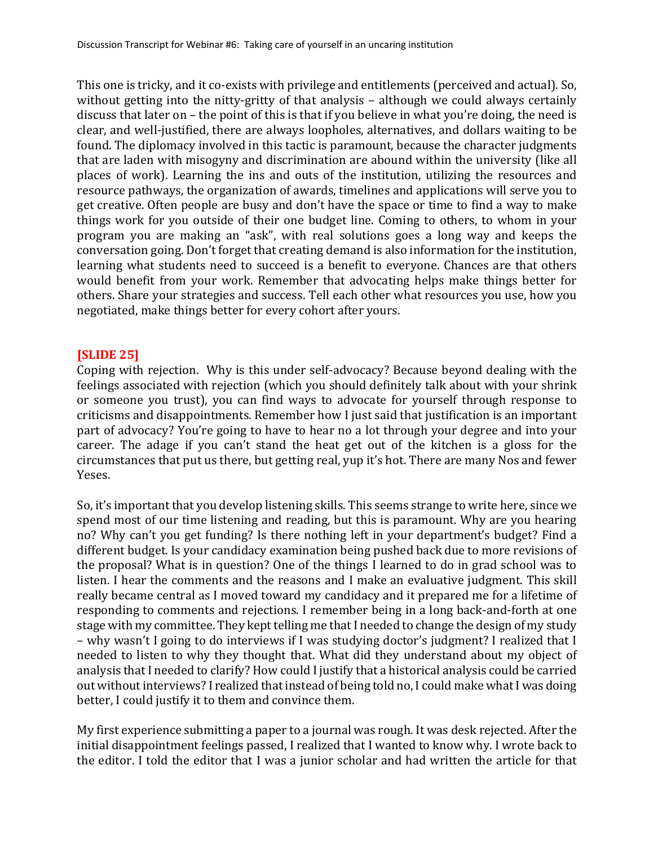This one is tricky, and it co-exists with privilege and entitlements (perceived and actual). So, without getting into the nitty-gritty of that analysis - although we could always certainly discuss that later on – the point of this is that if you believe in what you're doing, the need is clear, and well-justified, there are always loopholes, alternatives, and dollars waiting to be found. The diplomacy involved in this tactic is paramount, because the character judgments that are laden with misogyny and discrimination are abound within the university (like all places of work). Learning the ins and outs of the institution, utilizing the resources and resource pathways, the organization of awards, timelines and applications will serve you to get creative. Often people are busy and don't have the space or time to find a way to make things work for you outside of their one budget line. Coming to others, to whom in your program you are making an "ask", with real solutions goes a long way and keeps the conversation going. Don't forget that creating demand is also information for the institution, learning what students need to succeed is a benefit to everyone. Chances are that others would benefit from your work. Remember that advocating helps make things better for others. Share your strategies and success. Tell each other what resources you use, how you negotiated, make things better for every cohort after yours.

## **[SLIDE 25]**

Coping with rejection. Why is this under self-advocacy? Because beyond dealing with the feelings associated with rejection (which you should definitely talk about with your shrink or someone you trust), you can find ways to advocate for yourself through response to criticisms and disappointments. Remember how I just said that justification is an important part of advocacy? You're going to have to hear no a lot through your degree and into your career. The adage if you can't stand the heat get out of the kitchen is a gloss for the circumstances that put us there, but getting real, yup it's hot. There are many Nos and fewer Yeses. 

So, it's important that you develop listening skills. This seems strange to write here, since we spend most of our time listening and reading, but this is paramount. Why are you hearing no? Why can't you get funding? Is there nothing left in your department's budget? Find a different budget. Is your candidacy examination being pushed back due to more revisions of the proposal? What is in question? One of the things I learned to do in grad school was to listen. I hear the comments and the reasons and I make an evaluative judgment. This skill really became central as I moved toward my candidacy and it prepared me for a lifetime of responding to comments and rejections. I remember being in a long back-and-forth at one stage with my committee. They kept telling me that I needed to change the design of my study – why wasn't I going to do interviews if I was studying doctor's judgment? I realized that I needed to listen to why they thought that. What did they understand about my object of analysis that I needed to clarify? How could I justify that a historical analysis could be carried out without interviews? I realized that instead of being told no, I could make what I was doing better, I could justify it to them and convince them.

My first experience submitting a paper to a journal was rough. It was desk rejected. After the initial disappointment feelings passed, I realized that I wanted to know why. I wrote back to the editor. I told the editor that I was a junior scholar and had written the article for that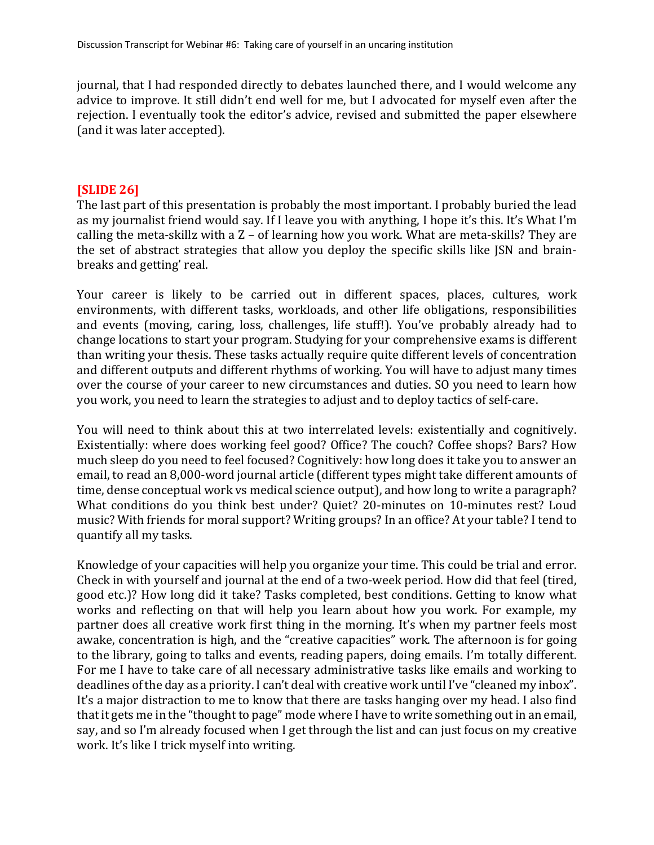journal, that I had responded directly to debates launched there, and I would welcome any advice to improve. It still didn't end well for me, but I advocated for myself even after the rejection. I eventually took the editor's advice, revised and submitted the paper elsewhere (and it was later accepted).

### **[SLIDE 26]**

The last part of this presentation is probably the most important. I probably buried the lead as my journalist friend would say. If I leave you with anything, I hope it's this. It's What I'm calling the meta-skillz with a  $Z$  – of learning how you work. What are meta-skills? They are the set of abstract strategies that allow you deploy the specific skills like JSN and brainbreaks and getting' real.

Your career is likely to be carried out in different spaces, places, cultures, work environments, with different tasks, workloads, and other life obligations, responsibilities and events (moving, caring, loss, challenges, life stuff!). You've probably already had to change locations to start your program. Studying for your comprehensive exams is different than writing your thesis. These tasks actually require quite different levels of concentration and different outputs and different rhythms of working. You will have to adjust many times over the course of your career to new circumstances and duties. SO you need to learn how you work, you need to learn the strategies to adjust and to deploy tactics of self-care.

You will need to think about this at two interrelated levels: existentially and cognitively. Existentially: where does working feel good? Office? The couch? Coffee shops? Bars? How much sleep do you need to feel focused? Cognitively: how long does it take you to answer an email, to read an 8,000-word journal article (different types might take different amounts of time, dense conceptual work vs medical science output), and how long to write a paragraph? What conditions do you think best under? Quiet? 20-minutes on 10-minutes rest? Loud music? With friends for moral support? Writing groups? In an office? At your table? I tend to quantify all my tasks.

Knowledge of your capacities will help you organize your time. This could be trial and error. Check in with yourself and journal at the end of a two-week period. How did that feel (tired, good etc.)? How long did it take? Tasks completed, best conditions. Getting to know what works and reflecting on that will help you learn about how you work. For example, my partner does all creative work first thing in the morning. It's when my partner feels most awake, concentration is high, and the "creative capacities" work. The afternoon is for going to the library, going to talks and events, reading papers, doing emails. I'm totally different. For me I have to take care of all necessary administrative tasks like emails and working to deadlines of the day as a priority. I can't deal with creative work until I've "cleaned my inbox". It's a major distraction to me to know that there are tasks hanging over my head. I also find that it gets me in the "thought to page" mode where I have to write something out in an email, say, and so I'm already focused when I get through the list and can just focus on my creative work. It's like I trick myself into writing.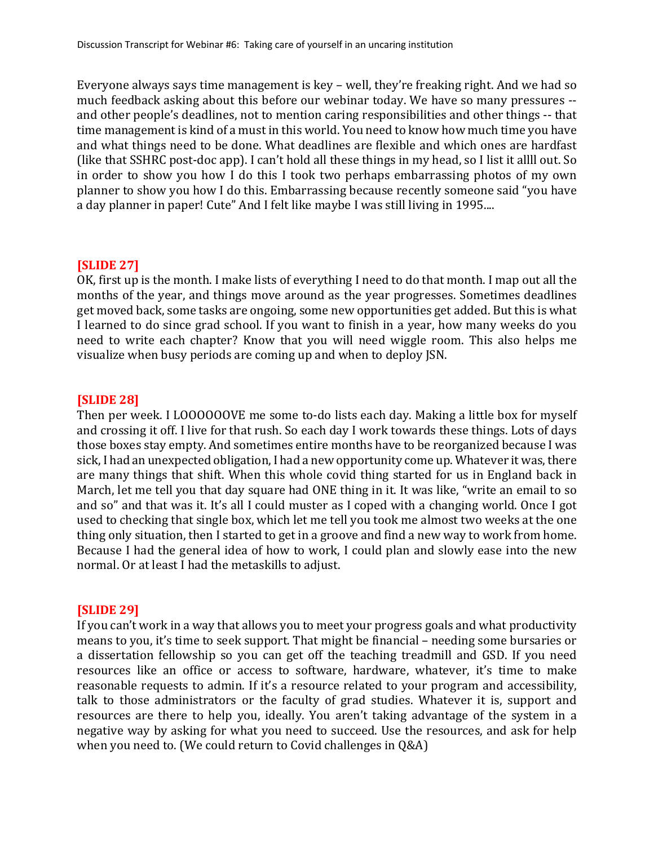Everyone always says time management is key – well, they're freaking right. And we had so much feedback asking about this before our webinar today. We have so many pressures -and other people's deadlines, not to mention caring responsibilities and other things -- that time management is kind of a must in this world. You need to know how much time you have and what things need to be done. What deadlines are flexible and which ones are hardfast (like that SSHRC post-doc app). I can't hold all these things in my head, so I list it allll out. So in order to show you how I do this I took two perhaps embarrassing photos of my own planner to show you how I do this. Embarrassing because recently someone said "you have a day planner in paper! Cute" And I felt like maybe I was still living in 1995....

## **[SLIDE 27]**

OK, first up is the month. I make lists of everything I need to do that month. I map out all the months of the year, and things move around as the year progresses. Sometimes deadlines get moved back, some tasks are ongoing, some new opportunities get added. But this is what I learned to do since grad school. If you want to finish in a year, how many weeks do you need to write each chapter? Know that you will need wiggle room. This also helps me visualize when busy periods are coming up and when to deploy JSN.

## **[SLIDE 28]**

Then per week. I LOOOOOOVE me some to-do lists each day. Making a little box for myself and crossing it off. I live for that rush. So each day I work towards these things. Lots of days those boxes stay empty. And sometimes entire months have to be reorganized because I was sick, I had an unexpected obligation, I had a new opportunity come up. Whatever it was, there are many things that shift. When this whole covid thing started for us in England back in March, let me tell you that day square had ONE thing in it. It was like, "write an email to so and so" and that was it. It's all I could muster as I coped with a changing world. Once I got used to checking that single box, which let me tell you took me almost two weeks at the one thing only situation, then I started to get in a groove and find a new way to work from home. Because I had the general idea of how to work, I could plan and slowly ease into the new normal. Or at least I had the metaskills to adjust.

## **[SLIDE 29]**

If you can't work in a way that allows you to meet your progress goals and what productivity means to you, it's time to seek support. That might be financial – needing some bursaries or a dissertation fellowship so you can get off the teaching treadmill and GSD. If you need resources like an office or access to software, hardware, whatever, it's time to make reasonable requests to admin. If it's a resource related to your program and accessibility, talk to those administrators or the faculty of grad studies. Whatever it is, support and resources are there to help you, ideally. You aren't taking advantage of the system in a negative way by asking for what you need to succeed. Use the resources, and ask for help when you need to. (We could return to Covid challenges in  $Q&A$ )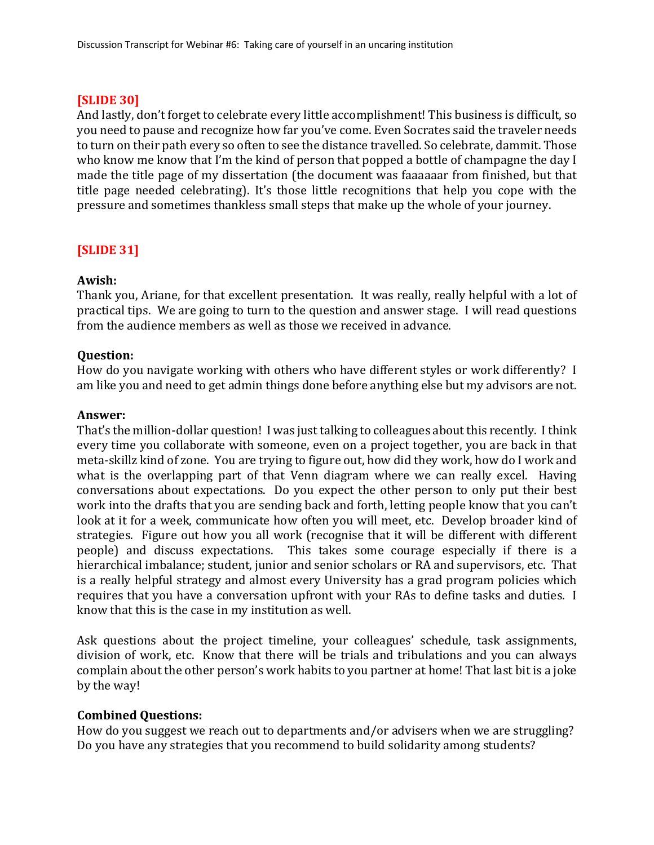# **[SLIDE 30]**

And lastly, don't forget to celebrate every little accomplishment! This business is difficult, so you need to pause and recognize how far you've come. Even Socrates said the traveler needs to turn on their path every so often to see the distance travelled. So celebrate, dammit. Those who know me know that I'm the kind of person that popped a bottle of champagne the day I made the title page of my dissertation (the document was faaaaaar from finished, but that title page needed celebrating). It's those little recognitions that help you cope with the pressure and sometimes thankless small steps that make up the whole of your journey.

# **[SLIDE 31]**

## **Awish:**

Thank you, Ariane, for that excellent presentation. It was really, really helpful with a lot of practical tips. We are going to turn to the question and answer stage. I will read questions from the audience members as well as those we received in advance.

## **Question:**

How do you navigate working with others who have different styles or work differently? I am like you and need to get admin things done before anything else but my advisors are not.

## **Answer:**

That's the million-dollar question! I was just talking to colleagues about this recently. I think every time you collaborate with someone, even on a project together, you are back in that meta-skillz kind of zone. You are trying to figure out, how did they work, how do I work and what is the overlapping part of that Venn diagram where we can really excel. Having conversations about expectations. Do you expect the other person to only put their best work into the drafts that you are sending back and forth, letting people know that you can't look at it for a week, communicate how often you will meet, etc. Develop broader kind of strategies. Figure out how you all work (recognise that it will be different with different people) and discuss expectations. This takes some courage especially if there is a hierarchical imbalance; student, junior and senior scholars or RA and supervisors, etc. That is a really helpful strategy and almost every University has a grad program policies which requires that you have a conversation upfront with your RAs to define tasks and duties. I know that this is the case in my institution as well.

Ask questions about the project timeline, your colleagues' schedule, task assignments, division of work, etc. Know that there will be trials and tribulations and you can always complain about the other person's work habits to you partner at home! That last bit is a joke by the way!

## **Combined Questions:**

How do you suggest we reach out to departments and/or advisers when we are struggling? Do you have any strategies that you recommend to build solidarity among students?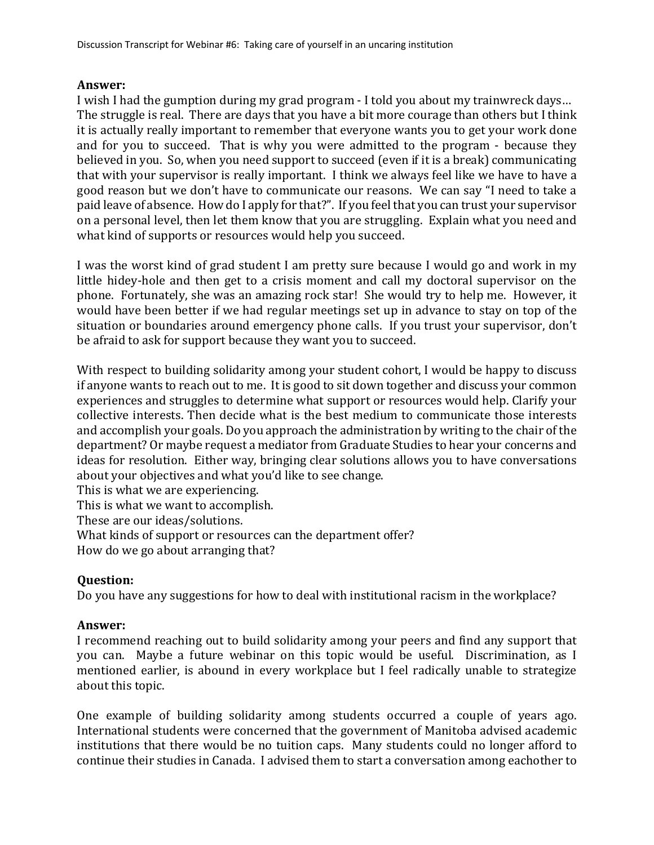## **Answer:**

I wish I had the gumption during my grad program - I told you about my trainwreck days... The struggle is real. There are days that you have a bit more courage than others but I think it is actually really important to remember that everyone wants you to get your work done and for you to succeed. That is why you were admitted to the program - because they believed in you. So, when you need support to succeed (even if it is a break) communicating that with your supervisor is really important. I think we always feel like we have to have a good reason but we don't have to communicate our reasons. We can say "I need to take a paid leave of absence. How do I apply for that?". If you feel that you can trust your supervisor on a personal level, then let them know that you are struggling. Explain what you need and what kind of supports or resources would help you succeed.

I was the worst kind of grad student I am pretty sure because I would go and work in my little hidey-hole and then get to a crisis moment and call my doctoral supervisor on the phone. Fortunately, she was an amazing rock star! She would try to help me. However, it would have been better if we had regular meetings set up in advance to stay on top of the situation or boundaries around emergency phone calls. If you trust your supervisor, don't be afraid to ask for support because they want you to succeed.

With respect to building solidarity among your student cohort, I would be happy to discuss if anyone wants to reach out to me. It is good to sit down together and discuss your common experiences and struggles to determine what support or resources would help. Clarify your collective interests. Then decide what is the best medium to communicate those interests and accomplish your goals. Do you approach the administration by writing to the chair of the department? Or maybe request a mediator from Graduate Studies to hear your concerns and ideas for resolution. Either way, bringing clear solutions allows you to have conversations about your objectives and what you'd like to see change.

This is what we are experiencing.

This is what we want to accomplish.

These are our ideas/solutions.

What kinds of support or resources can the department offer?

How do we go about arranging that?

## **Question:**

Do you have any suggestions for how to deal with institutional racism in the workplace?

## **Answer:**

I recommend reaching out to build solidarity among your peers and find any support that you can. Maybe a future webinar on this topic would be useful. Discrimination, as I mentioned earlier, is abound in every workplace but I feel radically unable to strategize about this topic.

One example of building solidarity among students occurred a couple of years ago. International students were concerned that the government of Manitoba advised academic institutions that there would be no tuition caps. Many students could no longer afford to continue their studies in Canada. I advised them to start a conversation among eachother to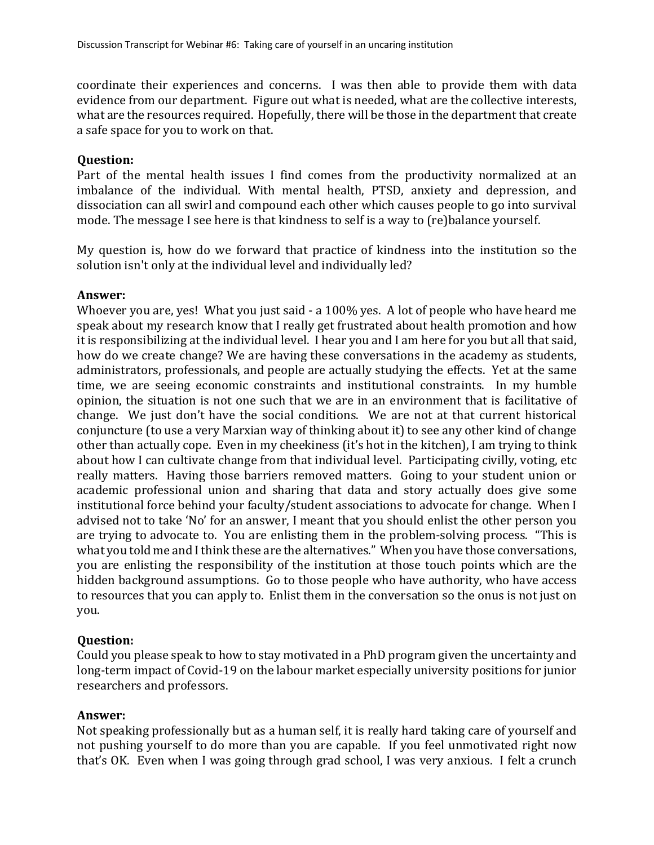coordinate their experiences and concerns. I was then able to provide them with data evidence from our department. Figure out what is needed, what are the collective interests, what are the resources required. Hopefully, there will be those in the department that create a safe space for you to work on that.

### **Question:**

Part of the mental health issues I find comes from the productivity normalized at an imbalance of the individual. With mental health, PTSD, anxiety and depression, and dissociation can all swirl and compound each other which causes people to go into survival mode. The message I see here is that kindness to self is a way to  $(\text{re})$ balance yourself.

My question is, how do we forward that practice of kindness into the institution so the solution isn't only at the individual level and individually led?

### **Answer:**

Whoever you are, yes! What you just said - a 100% yes. A lot of people who have heard me speak about my research know that I really get frustrated about health promotion and how it is responsibilizing at the individual level. I hear you and I am here for you but all that said, how do we create change? We are having these conversations in the academy as students, administrators, professionals, and people are actually studying the effects. Yet at the same time, we are seeing economic constraints and institutional constraints. In my humble opinion, the situation is not one such that we are in an environment that is facilitative of change. We just don't have the social conditions. We are not at that current historical conjuncture (to use a very Marxian way of thinking about it) to see any other kind of change other than actually cope. Even in my cheekiness (it's hot in the kitchen), I am trying to think about how I can cultivate change from that individual level. Participating civilly, voting, etc really matters. Having those barriers removed matters. Going to your student union or academic professional union and sharing that data and story actually does give some institutional force behind your faculty/student associations to advocate for change. When I advised not to take 'No' for an answer, I meant that you should enlist the other person you are trying to advocate to. You are enlisting them in the problem-solving process. "This is what you told me and I think these are the alternatives." When you have those conversations, you are enlisting the responsibility of the institution at those touch points which are the hidden background assumptions. Go to those people who have authority, who have access to resources that you can apply to. Enlist them in the conversation so the onus is not just on you.

## **Question:**

Could you please speak to how to stay motivated in a PhD program given the uncertainty and long-term impact of Covid-19 on the labour market especially university positions for junior researchers and professors.

## **Answer:**

Not speaking professionally but as a human self, it is really hard taking care of yourself and not pushing yourself to do more than you are capable. If you feel unmotivated right now that's OK. Even when I was going through grad school, I was very anxious. I felt a crunch